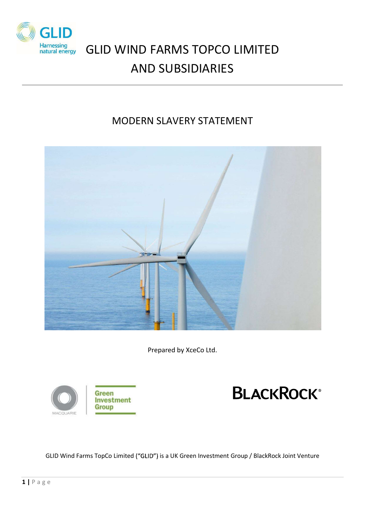

# GLID WIND FARMS TOPCO LIMITED AND SUBSIDIARIES

## MODERN SLAVERY STATEMENT



Prepared by XceCo Ltd.





GRID WAGQUARIE INVESTING TO LIMITED TO LIMITED TO LIMITED TO LIMITED TO LIMITED USE OF USE OF USE OF USE OF USE OF USE OF USE OF USE OF USE OF USE OF USE OF USE OF USE OF USE OF USE OF USE OF USE OF USE OF USE OF USE OF US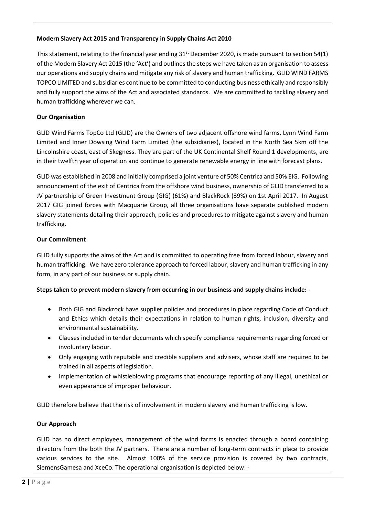#### Modern Slavery Act 2015 and Transparency in Supply Chains Act 2010

This statement, relating to the financial year ending  $31<sup>st</sup>$  December 2020, is made pursuant to section 54(1) of the Modern Slavery Act 2015 (the 'Act') and outlines the steps we have taken as an organisation to assess our operations and supply chains and mitigate any risk of slavery and human trafficking. GLID WIND FARMS TOPCO LIMITED and subsidiaries continue to be committed to conducting business ethically and responsibly and fully support the aims of the Act and associated standards. We are committed to tackling slavery and human trafficking wherever we can.

#### Our Organisation

GLID Wind Farms TopCo Ltd (GLID) are the Owners of two adjacent offshore wind farms, Lynn Wind Farm Limited and Inner Dowsing Wind Farm Limited (the subsidiaries), located in the North Sea 5km off the Lincolnshire coast, east of Skegness. They are part of the UK Continental Shelf Round 1 developments, are in their twelfth year of operation and continue to generate renewable energy in line with forecast plans.

GLID was established in 2008 and initially comprised a joint venture of 50% Centrica and 50% EIG. Following announcement of the exit of Centrica from the offshore wind business, ownership of GLID transferred to a JV partnership of Green Investment Group (GIG) (61%) and BlackRock (39%) on 1st April 2017. In August 2017 GIG joined forces with Macquarie Group, all three organisations have separate published modern slavery statements detailing their approach, policies and procedures to mitigate against slavery and human trafficking.

#### Our Commitment

GLID fully supports the aims of the Act and is committed to operating free from forced labour, slavery and human trafficking. We have zero tolerance approach to forced labour, slavery and human trafficking in any form, in any part of our business or supply chain.

### Steps taken to prevent modern slavery from occurring in our business and supply chains include: -

- Both GIG and Blackrock have supplier policies and procedures in place regarding Code of Conduct and Ethics which details their expectations in relation to human rights, inclusion, diversity and environmental sustainability.
- Clauses included in tender documents which specify compliance requirements regarding forced or involuntary labour.
- Only engaging with reputable and credible suppliers and advisers, whose staff are required to be trained in all aspects of legislation.
- Implementation of whistleblowing programs that encourage reporting of any illegal, unethical or even appearance of improper behaviour.

GLID therefore believe that the risk of involvement in modern slavery and human trafficking is low.

### Our Approach

**EXECUTE ASSEMBLARY**<br>
• Clauses included in tender documents which specify compliance requences<br>
involuntary labour.<br>
• Only engaging with reputable and credible suppliers and advisers, we<br>
trained in all aspects of legis GLID has no direct employees, management of the wind farms is enacted through a board containing directors from the both the JV partners. There are a number of long-term contracts in place to provide various services to the site. Almost 100% of the service provision is covered by two contracts, SiemensGamesa and XceCo. The operational organisation is depicted below: -